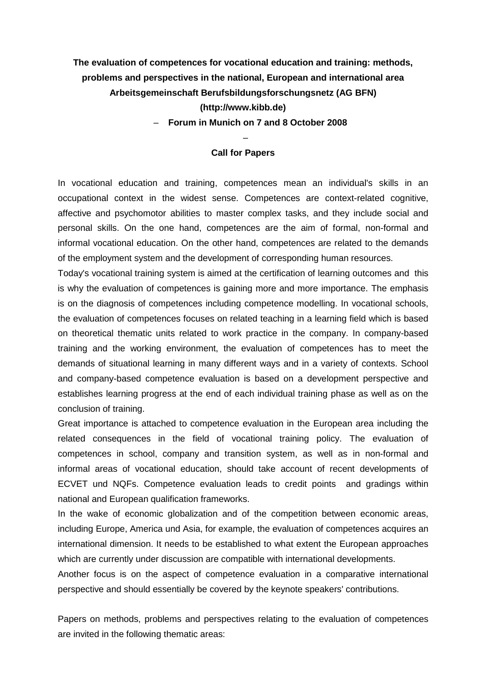**The evaluation of competences for vocational education and training: methods, problems and perspectives in the national, European and international area Arbeitsgemeinschaft Berufsbildungsforschungsnetz (AG BFN) (http://www.kibb.de)**

– **Forum in Munich on 7 and 8 October 2008** 

## – **Call for Papers**

In vocational education and training, competences mean an individual's skills in an occupational context in the widest sense. Competences are context-related cognitive, affective and psychomotor abilities to master complex tasks, and they include social and personal skills. On the one hand, competences are the aim of formal, non-formal and informal vocational education. On the other hand, competences are related to the demands of the employment system and the development of corresponding human resources.

Today's vocational training system is aimed at the certification of learning outcomes and this is why the evaluation of competences is gaining more and more importance. The emphasis is on the diagnosis of competences including competence modelling. In vocational schools, the evaluation of competences focuses on related teaching in a learning field which is based on theoretical thematic units related to work practice in the company. In company-based training and the working environment, the evaluation of competences has to meet the demands of situational learning in many different ways and in a variety of contexts. School and company-based competence evaluation is based on a development perspective and establishes learning progress at the end of each individual training phase as well as on the conclusion of training.

Great importance is attached to competence evaluation in the European area including the related consequences in the field of vocational training policy. The evaluation of competences in school, company and transition system, as well as in non-formal and informal areas of vocational education, should take account of recent developments of ECVET und NQFs. Competence evaluation leads to credit points and gradings within national and European qualification frameworks.

In the wake of economic globalization and of the competition between economic areas, including Europe, America und Asia, for example, the evaluation of competences acquires an international dimension. It needs to be established to what extent the European approaches which are currently under discussion are compatible with international developments.

Another focus is on the aspect of competence evaluation in a comparative international perspective and should essentially be covered by the keynote speakers' contributions.

Papers on methods, problems and perspectives relating to the evaluation of competences are invited in the following thematic areas: